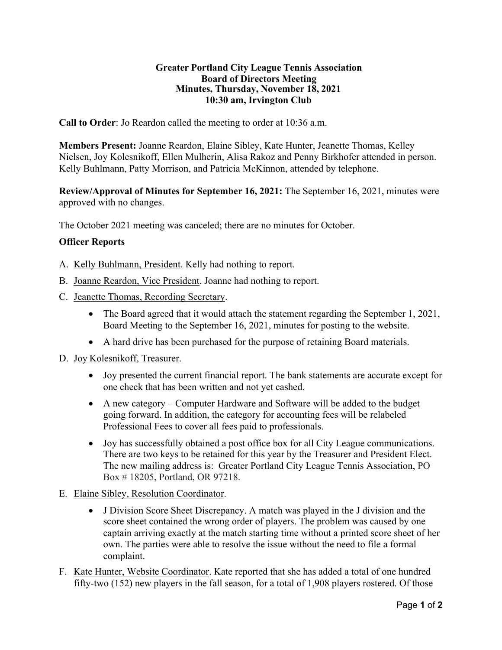## **Greater Portland City League Tennis Association Board of Directors Meeting Minutes, Thursday, November 18, 2021 10:30 am, Irvington Club**

**Call to Order**: Jo Reardon called the meeting to order at 10:36 a.m.

**Members Present:** Joanne Reardon, Elaine Sibley, Kate Hunter, Jeanette Thomas, Kelley Nielsen, Joy Kolesnikoff, Ellen Mulherin, Alisa Rakoz and Penny Birkhofer attended in person. Kelly Buhlmann, Patty Morrison, and Patricia McKinnon, attended by telephone.

**Review/Approval of Minutes for September 16, 2021:** The September 16, 2021, minutes were approved with no changes.

The October 2021 meeting was canceled; there are no minutes for October.

## **Officer Reports**

- A. Kelly Buhlmann, President. Kelly had nothing to report.
- B. Joanne Reardon, Vice President. Joanne had nothing to report.
- C. Jeanette Thomas, Recording Secretary.
	- The Board agreed that it would attach the statement regarding the September 1, 2021, Board Meeting to the September 16, 2021, minutes for posting to the website.
	- A hard drive has been purchased for the purpose of retaining Board materials.
- D. Joy Kolesnikoff, Treasurer.
	- Joy presented the current financial report. The bank statements are accurate except for one check that has been written and not yet cashed.
	- A new category Computer Hardware and Software will be added to the budget going forward. In addition, the category for accounting fees will be relabeled Professional Fees to cover all fees paid to professionals.
	- Joy has successfully obtained a post office box for all City League communications. There are two keys to be retained for this year by the Treasurer and President Elect. The new mailing address is: Greater Portland City League Tennis Association, PO Box # 18205, Portland, OR 97218.
- E. Elaine Sibley, Resolution Coordinator.
	- J Division Score Sheet Discrepancy. A match was played in the J division and the score sheet contained the wrong order of players. The problem was caused by one captain arriving exactly at the match starting time without a printed score sheet of her own. The parties were able to resolve the issue without the need to file a formal complaint.
- F. Kate Hunter, Website Coordinator. Kate reported that she has added a total of one hundred fifty-two (152) new players in the fall season, for a total of 1,908 players rostered. Of those